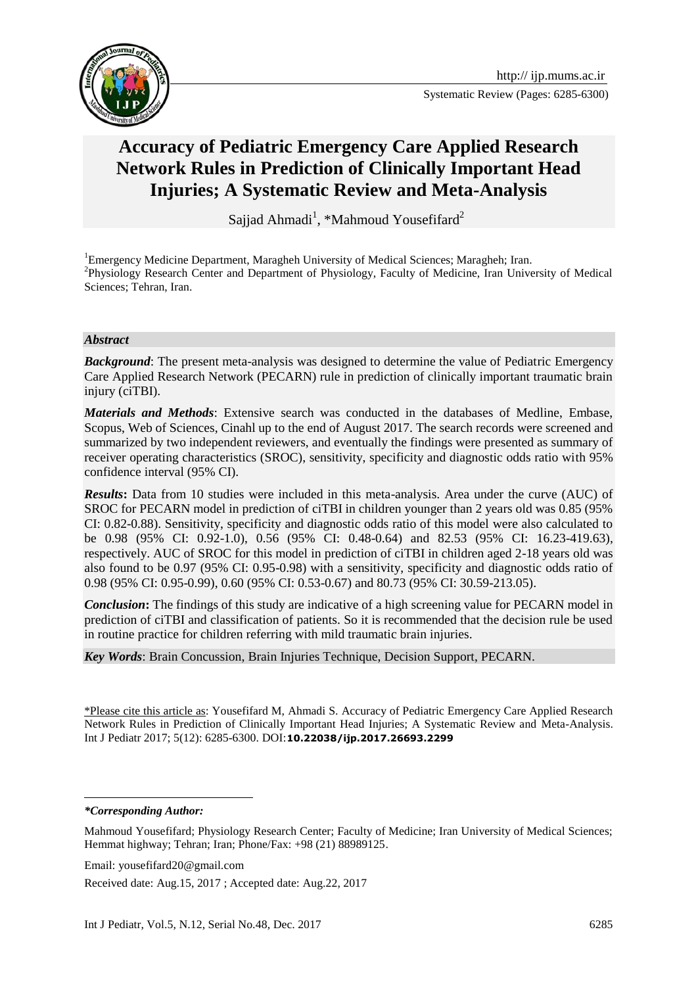Systematic Review (Pages: 6285-6300)



# **Accuracy of Pediatric Emergency Care Applied Research Network Rules in Prediction of Clinically Important Head Injuries; A Systematic Review and Meta-Analysis**

Sajjad Ahmadi<sup>1</sup>, \*Mahmoud Yousefifard<sup>2</sup>

<sup>1</sup>Emergency Medicine Department, Maragheh University of Medical Sciences; Maragheh; Iran. <sup>2</sup>Physiology Research Center and Department of Physiology, Faculty of Medicine, Iran University of Medical Sciences; Tehran, Iran.

#### *Abstract*

*Background*: The present meta-analysis was designed to determine the value of Pediatric Emergency Care Applied Research Network (PECARN) rule in prediction of clinically important traumatic brain injury (ciTBI).

*Materials and Methods*: Extensive search was conducted in the databases of Medline, Embase, Scopus, Web of Sciences, Cinahl up to the end of August 2017. The search records were screened and summarized by two independent reviewers, and eventually the findings were presented as summary of receiver operating characteristics (SROC), sensitivity, specificity and diagnostic odds ratio with 95% confidence interval (95% CI).

*Results*: Data from 10 studies were included in this meta-analysis. Area under the curve (AUC) of SROC for PECARN model in prediction of ciTBI in children younger than 2 years old was 0.85 (95% CI: 0.82-0.88). Sensitivity, specificity and diagnostic odds ratio of this model were also calculated to be 0.98 (95% CI: 0.92-1.0), 0.56 (95% CI: 0.48-0.64) and 82.53 (95% CI: 16.23-419.63), respectively. AUC of SROC for this model in prediction of ciTBI in children aged 2-18 years old was also found to be 0.97 (95% CI: 0.95-0.98) with a sensitivity, specificity and diagnostic odds ratio of 0.98 (95% CI: 0.95-0.99), 0.60 (95% CI: 0.53-0.67) and 80.73 (95% CI: 30.59-213.05).

*Conclusion***:** The findings of this study are indicative of a high screening value for PECARN model in prediction of ciTBI and classification of patients. So it is recommended that the decision rule be used in routine practice for children referring with mild traumatic brain injuries.

*Key Words*: Brain Concussion, Brain Injuries Technique, Decision Support, PECARN.

\*Please cite this article as: Yousefifard M, Ahmadi S. Accuracy of Pediatric Emergency Care Applied Research Network Rules in Prediction of Clinically Important Head Injuries; A Systematic Review and Meta-Analysis. Int J Pediatr 2017; 5(12): 6285-6300. DOI:**10.22038/ijp.2017.26693.2299**

**.** 

*<sup>\*</sup>Corresponding Author:*

Mahmoud Yousefifard; Physiology Research Center; Faculty of Medicine; Iran University of Medical Sciences; Hemmat highway; Tehran; Iran; Phone/Fax: +98 (21) 88989125.

Email: yousefifard20@gmail.com

Received date: Aug.15, 2017 ; Accepted date: Aug.22, 2017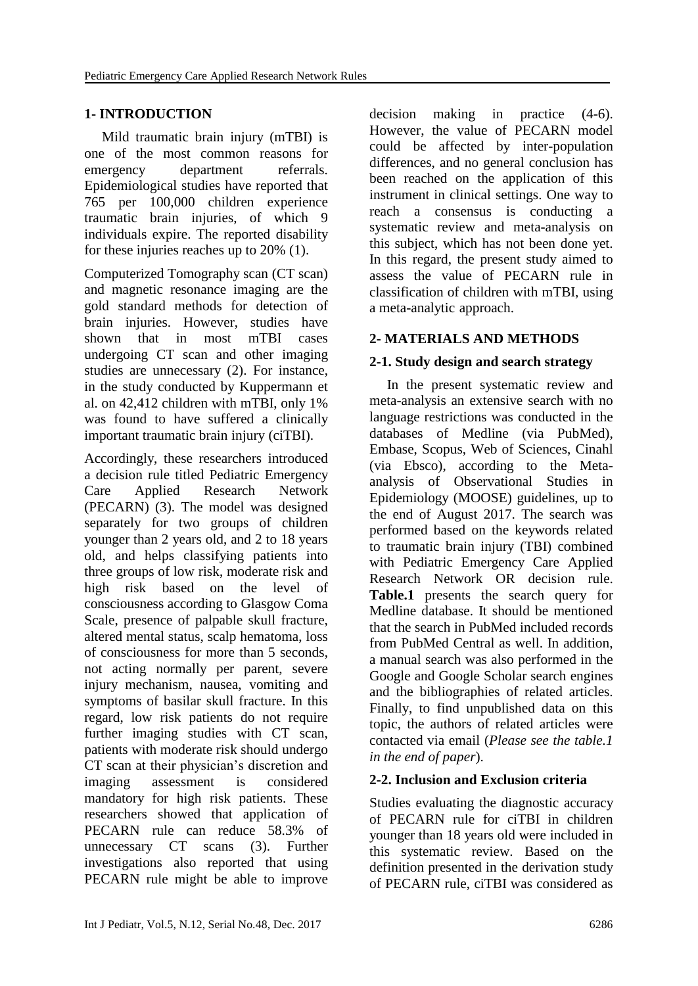# **1- INTRODUCTION**

 Mild traumatic brain injury (mTBI) is one of the most common reasons for emergency department referrals. Epidemiological studies have reported that 765 per 100,000 children experience traumatic brain injuries, of which 9 individuals expire. The reported disability for these injuries reaches up to 20% [\(1\)](#page-9-0).

Computerized Tomography scan (CT scan) and magnetic resonance imaging are the gold standard methods for detection of brain injuries. However, studies have shown that in most mTBI cases undergoing CT scan and other imaging studies are unnecessary [\(2\)](#page-9-1). For instance, in the study conducted by Kuppermann et al. on 42,412 children with mTBI, only 1% was found to have suffered a clinically important traumatic brain injury (ciTBI).

Accordingly, these researchers introduced a decision rule titled Pediatric Emergency Care Applied Research Network (PECARN) [\(3\)](#page-9-2). The model was designed separately for two groups of children younger than 2 years old, and 2 to 18 years old, and helps classifying patients into three groups of low risk, moderate risk and high risk based on the level of consciousness according to Glasgow Coma Scale, presence of palpable skull fracture, altered mental status, scalp hematoma, loss of consciousness for more than 5 seconds, not acting normally per parent, severe injury mechanism, nausea, vomiting and symptoms of basilar skull fracture. In this regard, low risk patients do not require further imaging studies with CT scan, patients with moderate risk should undergo CT scan at their physician's discretion and imaging assessment is considered mandatory for high risk patients. These researchers showed that application of PECARN rule can reduce 58.3% of unnecessary CT scans [\(3\)](#page-9-2). Further investigations also reported that using PECARN rule might be able to improve

decision making in practice [\(4-6\)](#page-9-3). However, the value of PECARN model could be affected by inter-population differences, and no general conclusion has been reached on the application of this instrument in clinical settings. One way to reach a consensus is conducting a systematic review and meta-analysis on this subject, which has not been done yet. In this regard, the present study aimed to assess the value of PECARN rule in classification of children with mTBI, using a meta-analytic approach.

## **2- MATERIALS AND METHODS**

## **2-1. Study design and search strategy**

 In the present systematic review and meta-analysis an extensive search with no language restrictions was conducted in the databases of Medline (via PubMed), Embase, Scopus, Web of Sciences, Cinahl (via Ebsco), according to the Metaanalysis of Observational Studies in Epidemiology (MOOSE) guidelines, up to the end of August 2017. The search was performed based on the keywords related to traumatic brain injury (TBI) combined with Pediatric Emergency Care Applied Research Network OR decision rule. **Table.1** presents the search query for Medline database. It should be mentioned that the search in PubMed included records from PubMed Central as well. In addition, a manual search was also performed in the Google and Google Scholar search engines and the bibliographies of related articles. Finally, to find unpublished data on this topic, the authors of related articles were contacted via email (*Please see the table.1 in the end of paper*).

## **2-2. Inclusion and Exclusion criteria**

Studies evaluating the diagnostic accuracy of PECARN rule for ciTBI in children younger than 18 years old were included in this systematic review. Based on the definition presented in the derivation study of PECARN rule, ciTBI was considered as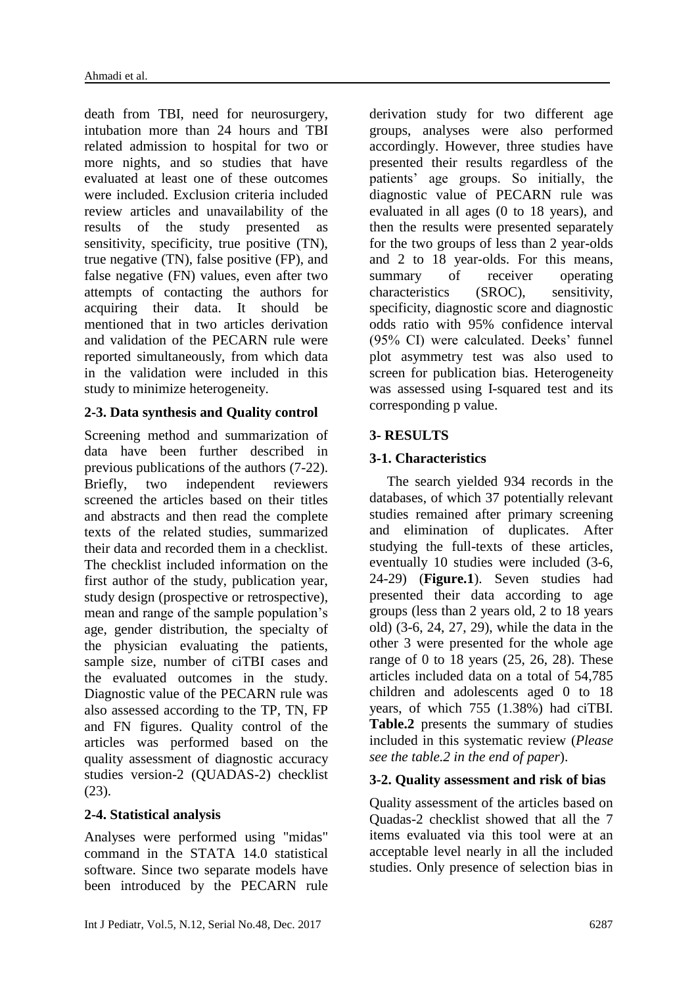death from TBI, need for neurosurgery, intubation more than 24 hours and TBI related admission to hospital for two or more nights, and so studies that have evaluated at least one of these outcomes were included. Exclusion criteria included review articles and unavailability of the results of the study presented as sensitivity, specificity, true positive (TN), true negative (TN), false positive (FP), and false negative (FN) values, even after two attempts of contacting the authors for acquiring their data. It should be mentioned that in two articles derivation and validation of the PECARN rule were reported simultaneously, from which data in the validation were included in this study to minimize heterogeneity.

# **2-3. Data synthesis and Quality control**

Screening method and summarization of data have been further described in previous publications of the authors [\(7-22\)](#page-10-0). Briefly, two independent reviewers screened the articles based on their titles and abstracts and then read the complete texts of the related studies, summarized their data and recorded them in a checklist. The checklist included information on the first author of the study, publication year, study design (prospective or retrospective), mean and range of the sample population's age, gender distribution, the specialty of the physician evaluating the patients, sample size, number of ciTBI cases and the evaluated outcomes in the study. Diagnostic value of the PECARN rule was also assessed according to the TP, TN, FP and FN figures. Quality control of the articles was performed based on the quality assessment of diagnostic accuracy studies version-2 (QUADAS-2) checklist [\(23\)](#page-11-0).

## **2-4. Statistical analysis**

Analyses were performed using "midas" command in the STATA 14.0 statistical software. Since two separate models have been introduced by the PECARN rule

derivation study for two different age groups, analyses were also performed accordingly. However, three studies have presented their results regardless of the patients' age groups. So initially, the diagnostic value of PECARN rule was evaluated in all ages (0 to 18 years), and then the results were presented separately for the two groups of less than 2 year-olds and 2 to 18 year-olds. For this means, summary of receiver operating characteristics (SROC), sensitivity, specificity, diagnostic score and diagnostic odds ratio with 95% confidence interval (95% CI) were calculated. Deeks' funnel plot asymmetry test was also used to screen for publication bias. Heterogeneity was assessed using I-squared test and its corresponding p value.

# **3- RESULTS**

# **3-1. Characteristics**

 The search yielded 934 records in the databases, of which 37 potentially relevant studies remained after primary screening and elimination of duplicates. After studying the full-texts of these articles, eventually 10 studies were included [\(3-6,](#page-9-2) [24-29\)](#page-11-1) (**Figure.1**). Seven studies had presented their data according to age groups (less than 2 years old, 2 to 18 years old) [\(3-6,](#page-9-2) [24,](#page-11-1) [27,](#page-11-2) [29\)](#page-11-3), while the data in the other 3 were presented for the whole age range of 0 to 18 years [\(25,](#page-11-4) [26,](#page-11-5) [28\)](#page-11-6). These articles included data on a total of 54,785 children and adolescents aged 0 to 18 years, of which 755 (1.38%) had ciTBI. **Table.2** presents the summary of studies included in this systematic review (*Please see the table.2 in the end of paper*).

## **3-2. Quality assessment and risk of bias**

Quality assessment of the articles based on Quadas-2 checklist showed that all the 7 items evaluated via this tool were at an acceptable level nearly in all the included studies. Only presence of selection bias in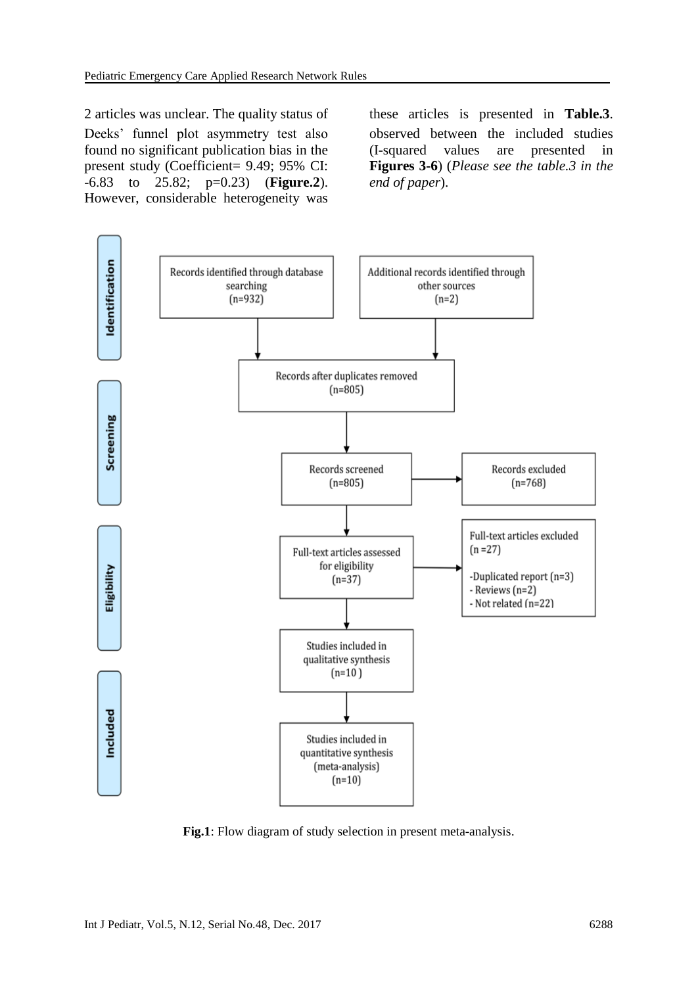2 articles was unclear. The quality status of these articles is presented in **Table.3**. Deeks' funnel plot asymmetry test also found no significant publication bias in the present study (Coefficient= 9.49; 95% CI: -6.83 to 25.82; p=0.23) (**Figure.2**). However, considerable heterogeneity was

observed between the included studies (I-squared values are presented in **Figures 3-6**) (*Please see the table.3 in the end of paper*).



**Fig.1**: Flow diagram of study selection in present meta-analysis.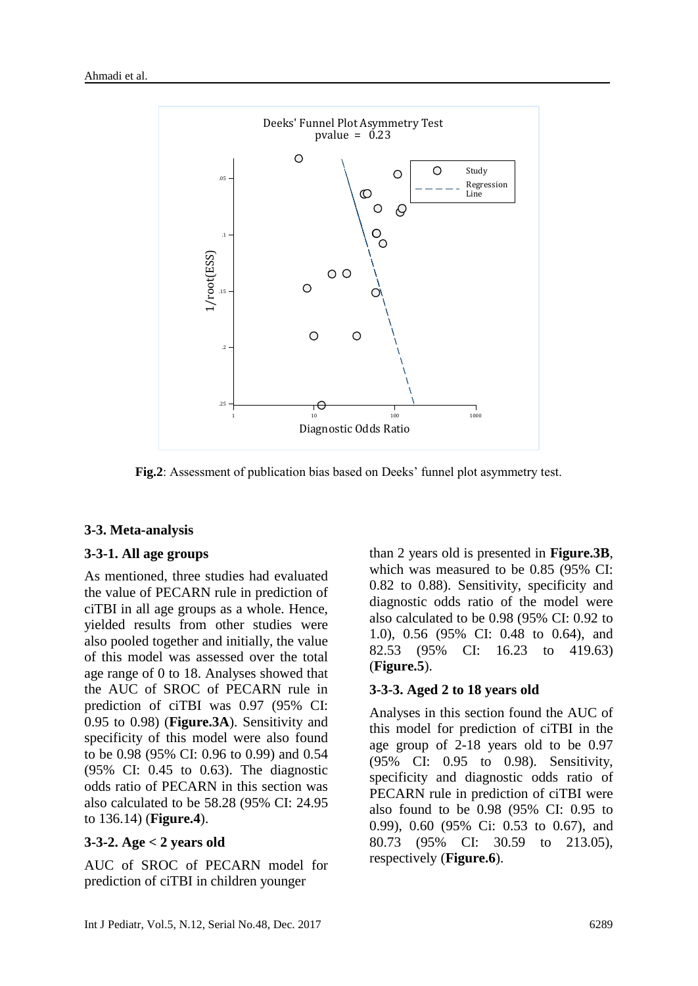

**Fig.2**: Assessment of publication bias based on Deeks' funnel plot asymmetry test.

## **3-3. Meta-analysis**

#### **3-3-1. All age groups**

As mentioned, three studies had evaluated the value of PECARN rule in prediction of ciTBI in all age groups as a whole. Hence, yielded results from other studies were also pooled together and initially, the value of this model was assessed over the total age range of 0 to 18. Analyses showed that the AUC of SROC of PECARN rule in prediction of ciTBI was 0.97 (95% CI: 0.95 to 0.98) (**Figure.3A**). Sensitivity and specificity of this model were also found to be 0.98 (95% CI: 0.96 to 0.99) and 0.54 (95% CI: 0.45 to 0.63). The diagnostic odds ratio of PECARN in this section was also calculated to be 58.28 (95% CI: 24.95 to 136.14) (**Figure.4**).

#### **3-3-2. Age < 2 years old**

AUC of SROC of PECARN model for prediction of ciTBI in children younger

than 2 years old is presented in **Figure.3B**, which was measured to be 0.85 (95% CI: 0.82 to 0.88). Sensitivity, specificity and diagnostic odds ratio of the model were also calculated to be 0.98 (95% CI: 0.92 to 1.0), 0.56 (95% CI: 0.48 to 0.64), and 82.53 (95% CI: 16.23 to 419.63) (**Figure.5**).

#### **3-3-3. Aged 2 to 18 years old**

Analyses in this section found the AUC of this model for prediction of ciTBI in the age group of 2-18 years old to be 0.97 (95% CI: 0.95 to 0.98). Sensitivity, specificity and diagnostic odds ratio of PECARN rule in prediction of ciTBI were also found to be 0.98 (95% CI: 0.95 to 0.99), 0.60 (95% Ci: 0.53 to 0.67), and 80.73 (95% CI: 30.59 to 213.05), respectively (**Figure.6**).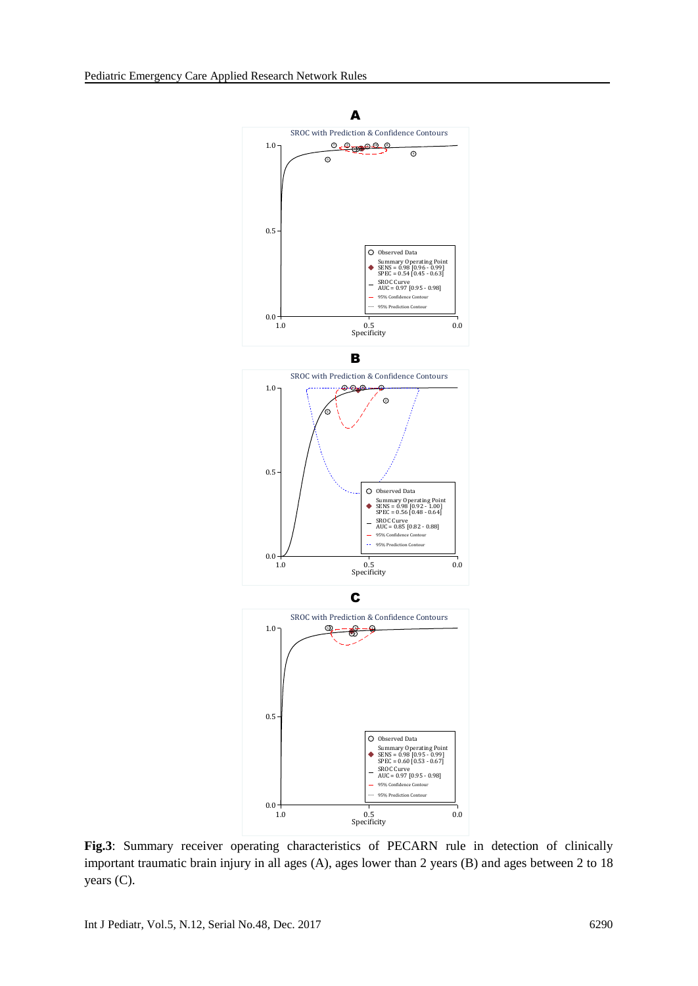

**Fig.3**: Summary receiver operating characteristics of PECARN rule in detection of clinically important traumatic brain injury in all ages (A), ages lower than 2 years (B) and ages between 2 to 18 years (C).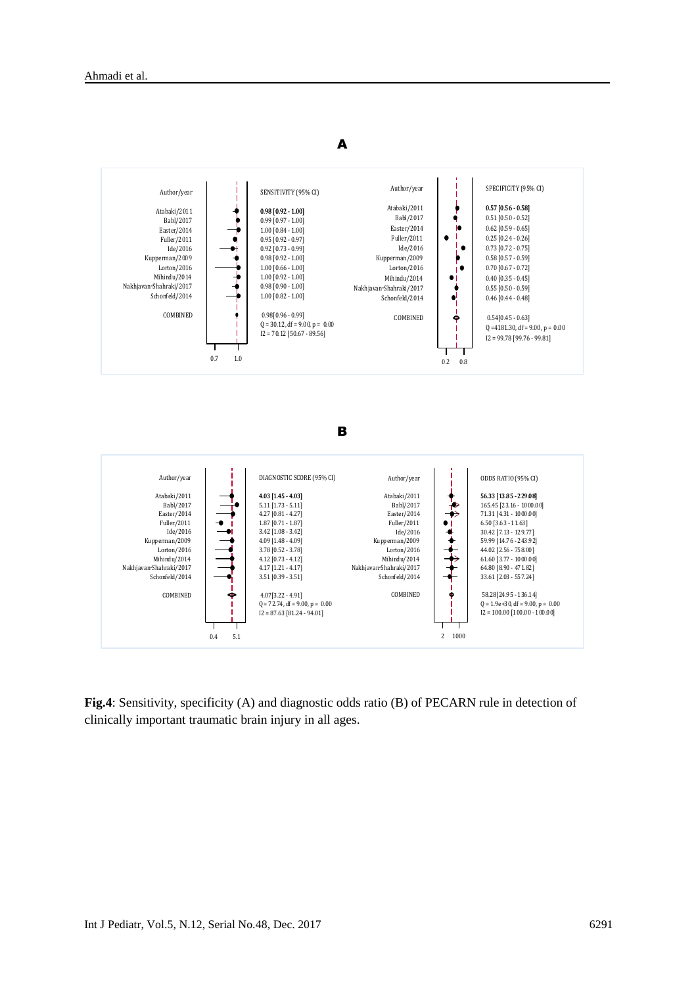

**Fig.4**: Sensitivity, specificity (A) and diagnostic odds ratio (B) of PECARN rule in detection of clinically important traumatic brain injury in all ages.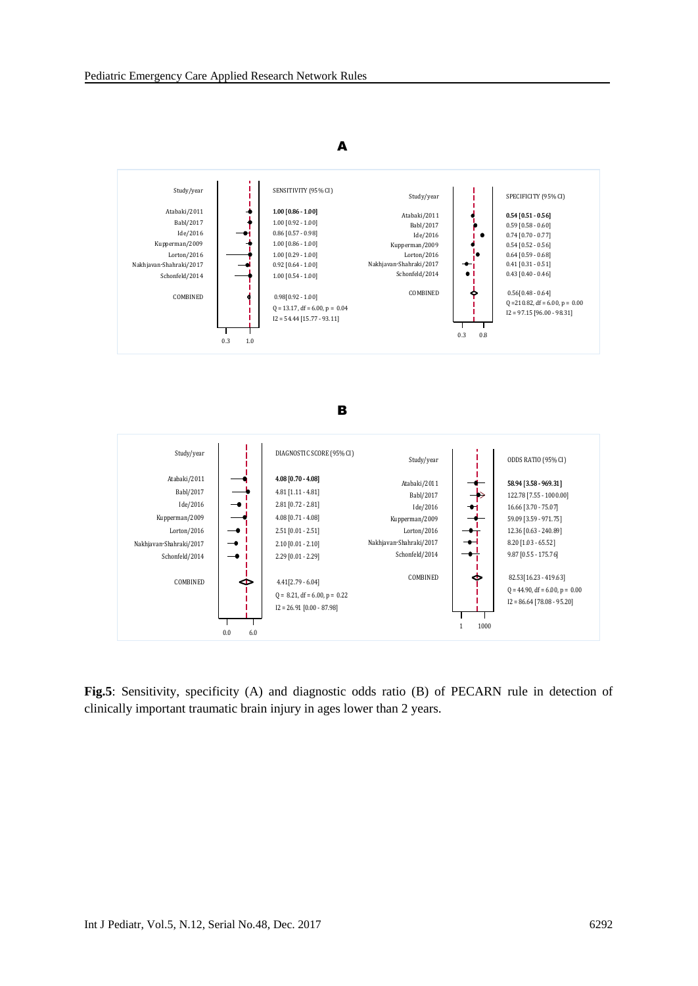

**Fig.5**: Sensitivity, specificity (A) and diagnostic odds ratio (B) of PECARN rule in detection of clinically important traumatic brain injury in ages lower than 2 years.

# Int J Pediatr, Vol.5, N.12, Serial No.48, Dec. 2017 6292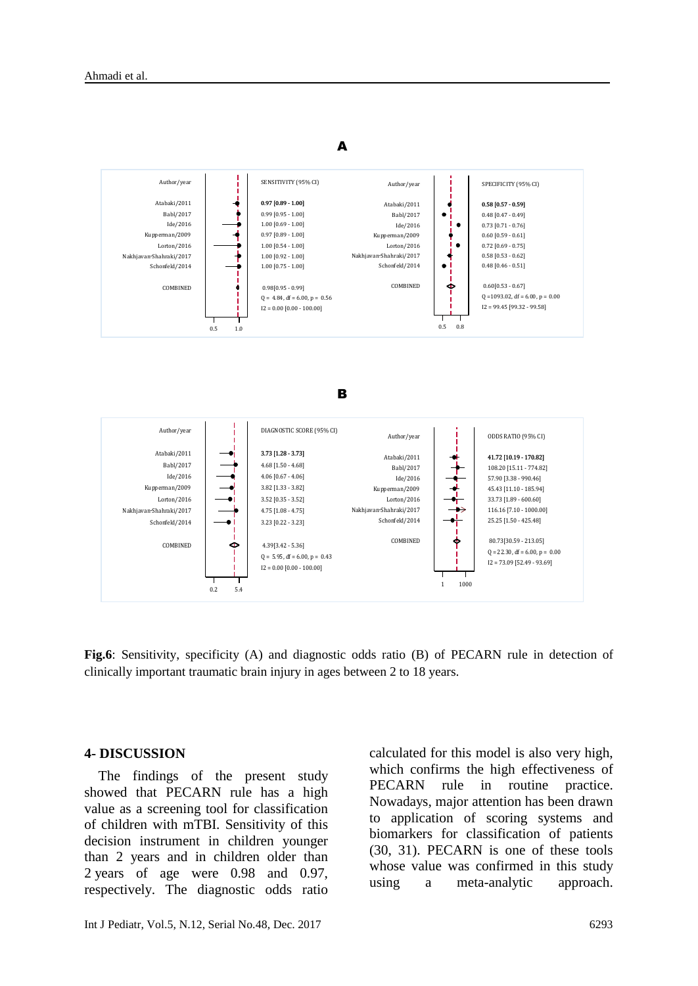

**Fig.6**: Sensitivity, specificity (A) and diagnostic odds ratio (B) of PECARN rule in detection of clinically important traumatic brain injury in ages between 2 to 18 years.

#### **4- DISCUSSION**

 The findings of the present study showed that PECARN rule has a high value as a screening tool for classification of children with mTBI. Sensitivity of this decision instrument in children younger than 2 years and in children older than 2 years of age were 0.98 and 0.97, respectively. The diagnostic odds ratio

calculated for this model is also very high, which confirms the high effectiveness of PECARN rule in routine practice. Nowadays, major attention has been drawn to application of scoring systems and biomarkers for classification of patients [\(30,](#page-11-7) [31\)](#page-11-8). PECARN is one of these tools whose value was confirmed in this study using a meta-analytic approach.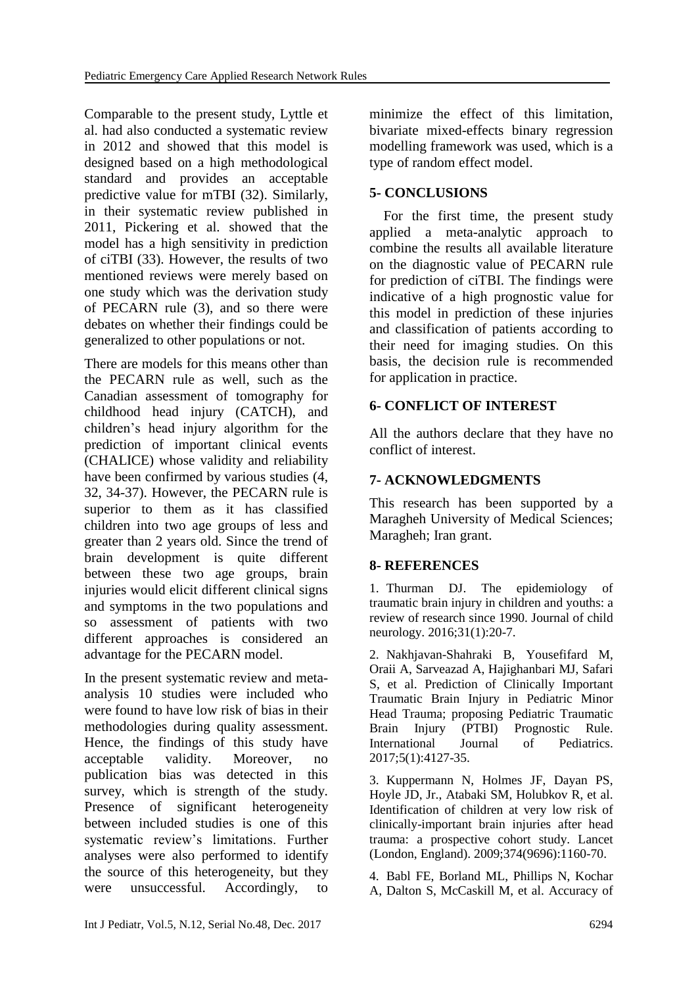Comparable to the present study, Lyttle et al. had also conducted a systematic review in 2012 and showed that this model is designed based on a high methodological standard and provides an acceptable predictive value for mTBI [\(32\)](#page-11-9). Similarly, in their systematic review published in 2011, Pickering et al. showed that the model has a high sensitivity in prediction of ciTBI [\(33\)](#page-11-10). However, the results of two mentioned reviews were merely based on one study which was the derivation study of PECARN rule [\(3\)](#page-9-2), and so there were debates on whether their findings could be generalized to other populations or not.

There are models for this means other than the PECARN rule as well, such as the Canadian assessment of tomography for childhood head injury (CATCH), and children's head injury algorithm for the prediction of important clinical events (CHALICE) whose validity and reliability have been confirmed by various studies [\(4,](#page-9-3) [32,](#page-11-9) [34-37\)](#page-11-11). However, the PECARN rule is superior to them as it has classified children into two age groups of less and greater than 2 years old. Since the trend of brain development is quite different between these two age groups, brain injuries would elicit different clinical signs and symptoms in the two populations and so assessment of patients with two different approaches is considered an advantage for the PECARN model.

In the present systematic review and metaanalysis 10 studies were included who were found to have low risk of bias in their methodologies during quality assessment. Hence, the findings of this study have acceptable validity. Moreover, no publication bias was detected in this survey, which is strength of the study. Presence of significant heterogeneity between included studies is one of this systematic review's limitations. Further analyses were also performed to identify the source of this heterogeneity, but they were unsuccessful. Accordingly, to minimize the effect of this limitation, bivariate mixed-effects binary regression modelling framework was used, which is a type of random effect model.

# **5- CONCLUSIONS**

 For the first time, the present study applied a meta-analytic approach to combine the results all available literature on the diagnostic value of PECARN rule for prediction of ciTBI. The findings were indicative of a high prognostic value for this model in prediction of these injuries and classification of patients according to their need for imaging studies. On this basis, the decision rule is recommended for application in practice.

# **6- CONFLICT OF INTEREST**

All the authors declare that they have no conflict of interest.

# **7- ACKNOWLEDGMENTS**

<span id="page-9-4"></span>This research has been supported by a Maragheh University of Medical Sciences; Maragheh; Iran grant.

# **8- REFERENCES**

<span id="page-9-0"></span>1. Thurman DJ. The epidemiology of traumatic brain injury in children and youths: a review of research since 1990. Journal of child neurology. 2016;31(1):20-7.

<span id="page-9-1"></span>2. Nakhjavan-Shahraki B, Yousefifard M, Oraii A, Sarveazad A, Hajighanbari MJ, Safari S, et al. Prediction of Clinically Important Traumatic Brain Injury in Pediatric Minor Head Trauma; proposing Pediatric Traumatic Brain Injury (PTBI) Prognostic Rule. International Journal of Pediatrics. 2017;5(1):4127-35.

<span id="page-9-2"></span>3. Kuppermann N, Holmes JF, Dayan PS, Hoyle JD, Jr., Atabaki SM, Holubkov R, et al. Identification of children at very low risk of clinically-important brain injuries after head trauma: a prospective cohort study. Lancet (London, England). 2009;374(9696):1160-70.

<span id="page-9-3"></span>4. Babl FE, Borland ML, Phillips N, Kochar A, Dalton S, McCaskill M, et al. Accuracy of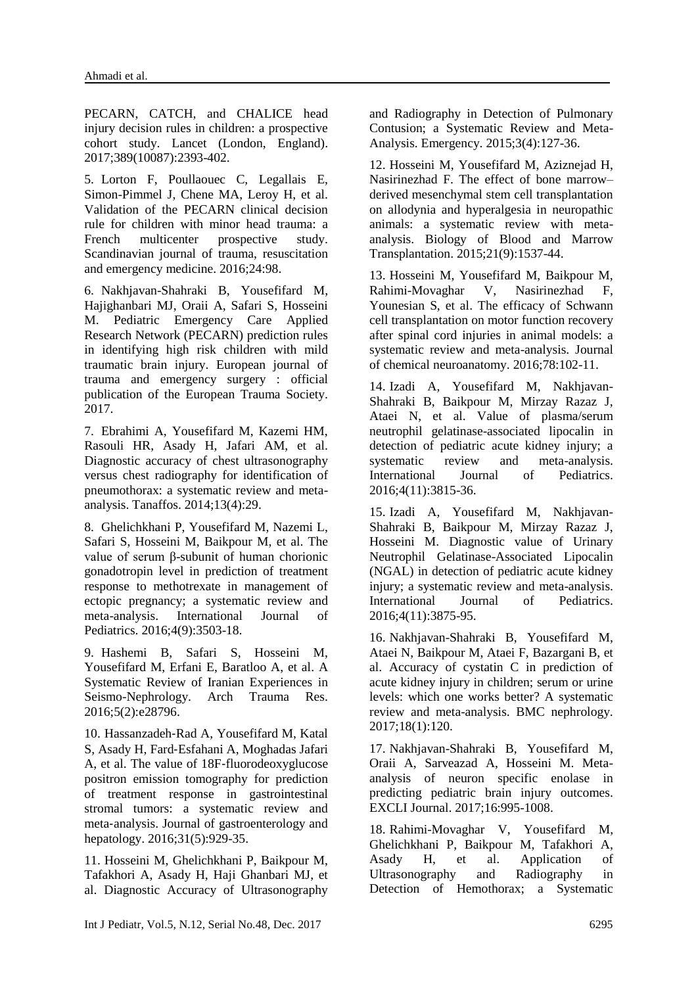<span id="page-10-2"></span><span id="page-10-1"></span>PECARN, CATCH, and CHALICE head injury decision rules in children: a prospective cohort study. Lancet (London, England). 2017;389(10087):2393-402.

5. Lorton F, Poullaouec C, Legallais E, Simon-Pimmel J, Chene MA, Leroy H, et al. Validation of the PECARN clinical decision rule for children with minor head trauma: a French multicenter prospective study. Scandinavian journal of trauma, resuscitation and emergency medicine. 2016;24:98.

6. Nakhjavan-Shahraki B, Yousefifard M, Hajighanbari MJ, Oraii A, Safari S, Hosseini M. Pediatric Emergency Care Applied Research Network (PECARN) prediction rules in identifying high risk children with mild traumatic brain injury. European journal of trauma and emergency surgery : official publication of the European Trauma Society. 2017.

<span id="page-10-0"></span>7. Ebrahimi A, Yousefifard M, Kazemi HM, Rasouli HR, Asady H, Jafari AM, et al. Diagnostic accuracy of chest ultrasonography versus chest radiography for identification of pneumothorax: a systematic review and metaanalysis. Tanaffos. 2014;13(4):29.

8. Ghelichkhani P, Yousefifard M, Nazemi L, Safari S, Hosseini M, Baikpour M, et al. The value of serum β-subunit of human chorionic gonadotropin level in prediction of treatment response to methotrexate in management of ectopic pregnancy; a systematic review and meta-analysis. International Journal of Pediatrics. 2016;4(9):3503-18.

9. Hashemi B, Safari S, Hosseini M, Yousefifard M, Erfani E, Baratloo A, et al. A Systematic Review of Iranian Experiences in Seismo-Nephrology. Arch Trauma Res. 2016;5(2):e28796.

10. Hassanzadeh‐Rad A, Yousefifard M, Katal S, Asady H, Fard‐Esfahani A, Moghadas Jafari A, et al. The value of 18F‐fluorodeoxyglucose positron emission tomography for prediction of treatment response in gastrointestinal stromal tumors: a systematic review and meta‐analysis. Journal of gastroenterology and hepatology. 2016;31(5):929-35.

11. Hosseini M, Ghelichkhani P, Baikpour M, Tafakhori A, Asady H, Haji Ghanbari MJ, et al. Diagnostic Accuracy of Ultrasonography and Radiography in Detection of Pulmonary Contusion; a Systematic Review and Meta-Analysis. Emergency. 2015;3(4):127-36.

12. Hosseini M, Yousefifard M, Aziznejad H, Nasirinezhad F. The effect of bone marrow– derived mesenchymal stem cell transplantation on allodynia and hyperalgesia in neuropathic animals: a systematic review with metaanalysis. Biology of Blood and Marrow Transplantation. 2015;21(9):1537-44.

13. Hosseini M, Yousefifard M, Baikpour M, Rahimi-Movaghar V, Nasirinezhad F, Younesian S, et al. The efficacy of Schwann cell transplantation on motor function recovery after spinal cord injuries in animal models: a systematic review and meta-analysis. Journal of chemical neuroanatomy. 2016;78:102-11.

14. Izadi A, Yousefifard M, Nakhjavan-Shahraki B, Baikpour M, Mirzay Razaz J, Ataei N, et al. Value of plasma/serum neutrophil gelatinase-associated lipocalin in detection of pediatric acute kidney injury; a systematic review and meta-analysis. International Journal of Pediatrics. 2016;4(11):3815-36.

15. Izadi A, Yousefifard M, Nakhjavan-Shahraki B, Baikpour M, Mirzay Razaz J, Hosseini M. Diagnostic value of Urinary Neutrophil Gelatinase-Associated Lipocalin (NGAL) in detection of pediatric acute kidney injury; a systematic review and meta-analysis. International Journal of Pediatrics. 2016;4(11):3875-95.

16. Nakhjavan-Shahraki B, Yousefifard M, Ataei N, Baikpour M, Ataei F, Bazargani B, et al. Accuracy of cystatin C in prediction of acute kidney injury in children; serum or urine levels: which one works better? A systematic review and meta-analysis. BMC nephrology. 2017;18(1):120.

17. Nakhjavan-Shahraki B, Yousefifard M, Oraii A, Sarveazad A, Hosseini M. Metaanalysis of neuron specific enolase in predicting pediatric brain injury outcomes. EXCLI Journal. 2017;16:995-1008.

18. Rahimi-Movaghar V, Yousefifard M, Ghelichkhani P, Baikpour M, Tafakhori A, Asady H, et al. Application of Ultrasonography and Radiography in Detection of Hemothorax; a Systematic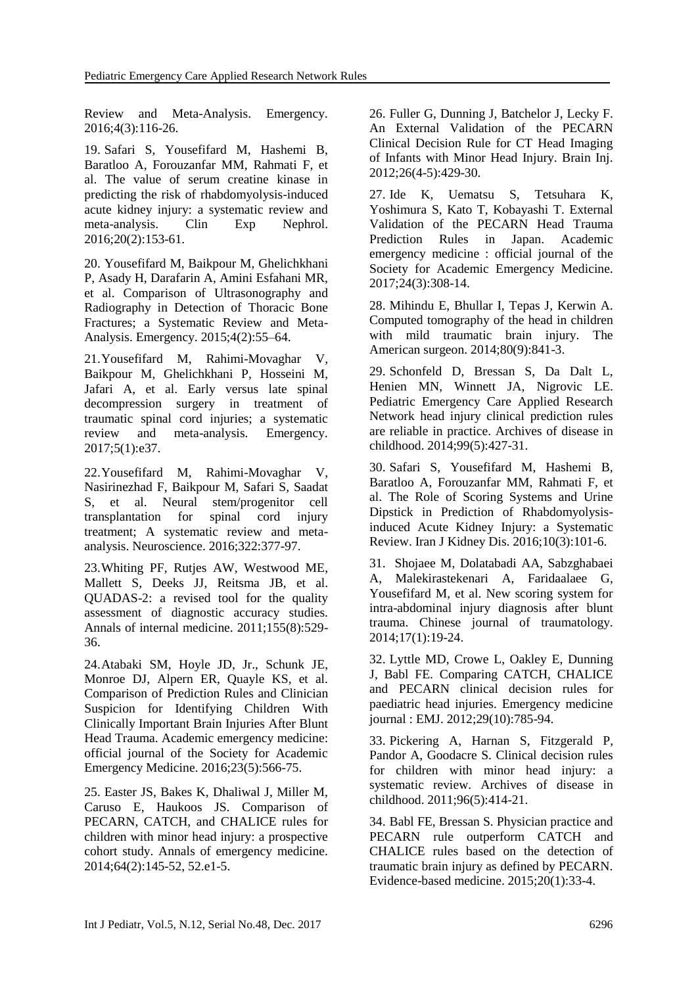Review and Meta-Analysis. Emergency. 2016;4(3):116-26.

19. Safari S, Yousefifard M, Hashemi B, Baratloo A, Forouzanfar MM, Rahmati F, et al. The value of serum creatine kinase in predicting the risk of rhabdomyolysis-induced acute kidney injury: a systematic review and meta-analysis. Clin Exp Nephrol. 2016;20(2):153-61.

20. Yousefifard M, Baikpour M, Ghelichkhani P, Asady H, Darafarin A, Amini Esfahani MR, et al. Comparison of Ultrasonography and Radiography in Detection of Thoracic Bone Fractures; a Systematic Review and Meta-Analysis. Emergency. 2015;4(2):55–64.

<span id="page-11-12"></span>21.Yousefifard M, Rahimi-Movaghar V, Baikpour M, Ghelichkhani P, Hosseini M, Jafari A, et al. Early versus late spinal decompression surgery in treatment of traumatic spinal cord injuries; a systematic review and meta-analysis. Emergency. 2017;5(1):e37.

<span id="page-11-13"></span>22.Yousefifard M, Rahimi-Movaghar V, Nasirinezhad F, Baikpour M, Safari S, Saadat S, et al. Neural stem/progenitor cell transplantation for spinal cord injury treatment; A systematic review and metaanalysis. Neuroscience. 2016;322:377-97.

<span id="page-11-0"></span>23.Whiting PF, Rutjes AW, Westwood ME, Mallett S, Deeks JJ, Reitsma JB, et al. QUADAS-2: a revised tool for the quality assessment of diagnostic accuracy studies. Annals of internal medicine. 2011;155(8):529- 36.

<span id="page-11-1"></span>24.Atabaki SM, Hoyle JD, Jr., Schunk JE, Monroe DJ, Alpern ER, Quayle KS, et al. Comparison of Prediction Rules and Clinician Suspicion for Identifying Children With Clinically Important Brain Injuries After Blunt Head Trauma. Academic emergency medicine: official journal of the Society for Academic Emergency Medicine. 2016;23(5):566-75.

<span id="page-11-4"></span>25. Easter JS, Bakes K, Dhaliwal J, Miller M, Caruso E, Haukoos JS. Comparison of PECARN, CATCH, and CHALICE rules for children with minor head injury: a prospective cohort study. Annals of emergency medicine. 2014;64(2):145-52, 52.e1-5.

<span id="page-11-17"></span><span id="page-11-16"></span><span id="page-11-15"></span>26. Fuller G, Dunning J, Batchelor J, Lecky F. An External Validation of the PECARN Clinical Decision Rule for CT Head Imaging of Infants with Minor Head Injury. Brain Inj. 2012;26(4-5):429-30.

<span id="page-11-2"></span>27. Ide K, Uematsu S, Tetsuhara K, Yoshimura S, Kato T, Kobayashi T. External Validation of the PECARN Head Trauma<br>Prediction Rules in Japan. Academic Prediction Rules in Japan. emergency medicine : official journal of the Society for Academic Emergency Medicine. 2017;24(3):308-14.

<span id="page-11-6"></span>28. Mihindu E, Bhullar I, Tepas J, Kerwin A. Computed tomography of the head in children with mild traumatic brain injury. The American surgeon. 2014;80(9):841-3.

<span id="page-11-3"></span>29. Schonfeld D, Bressan S, Da Dalt L, Henien MN, Winnett JA, Nigrovic LE. Pediatric Emergency Care Applied Research Network head injury clinical prediction rules are reliable in practice. Archives of disease in childhood. 2014;99(5):427-31.

<span id="page-11-7"></span>30. Safari S, Yousefifard M, Hashemi B, Baratloo A, Forouzanfar MM, Rahmati F, et al. The Role of Scoring Systems and Urine Dipstick in Prediction of Rhabdomyolysisinduced Acute Kidney Injury: a Systematic Review. Iran J Kidney Dis. 2016;10(3):101-6.

<span id="page-11-14"></span><span id="page-11-8"></span>31. Shojaee M, Dolatabadi AA, Sabzghabaei A, Malekirastekenari A, Faridaalaee G, Yousefifard M, et al. New scoring system for intra-abdominal injury diagnosis after blunt trauma. Chinese journal of traumatology. 2014;17(1):19-24.

<span id="page-11-9"></span>32. Lyttle MD, Crowe L, Oakley E, Dunning J, Babl FE. Comparing CATCH, CHALICE and PECARN clinical decision rules for paediatric head injuries. Emergency medicine journal : EMJ. 2012;29(10):785-94.

<span id="page-11-10"></span>33. Pickering A, Harnan S, Fitzgerald P, Pandor A, Goodacre S. Clinical decision rules for children with minor head injury: a systematic review. Archives of disease in childhood. 2011;96(5):414-21.

<span id="page-11-11"></span><span id="page-11-5"></span>34. Babl FE, Bressan S. Physician practice and PECARN rule outperform CATCH and CHALICE rules based on the detection of traumatic brain injury as defined by PECARN. Evidence-based medicine. 2015;20(1):33-4.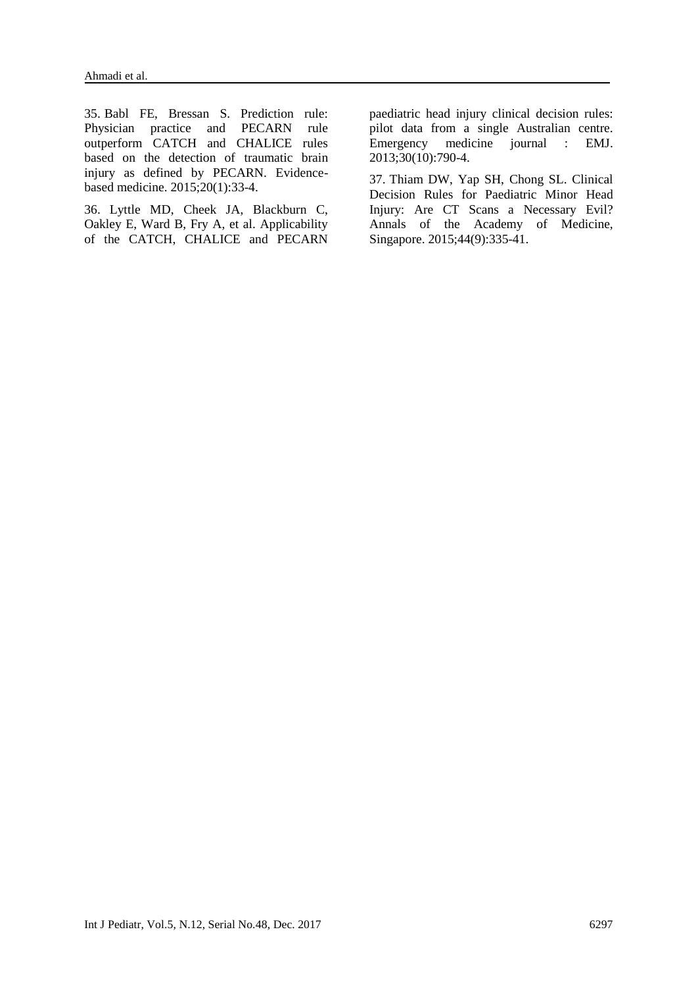35. Babl FE, Bressan S. Prediction rule: Physician practice and PECARN rule outperform CATCH and CHALICE rules based on the detection of traumatic brain injury as defined by PECARN. Evidencebased medicine. 2015;20(1):33-4.

36. Lyttle MD, Cheek JA, Blackburn C, Oakley E, Ward B, Fry A, et al. Applicability of the CATCH, CHALICE and PECARN

paediatric head injury clinical decision rules: pilot data from a single Australian centre. Emergency medicine journal : EMJ. 2013;30(10):790-4.

37. Thiam DW, Yap SH, Chong SL. Clinical Decision Rules for Paediatric Minor Head Injury: Are CT Scans a Necessary Evil? Annals of the Academy of Medicine, Singapore. 2015;44(9):335-41.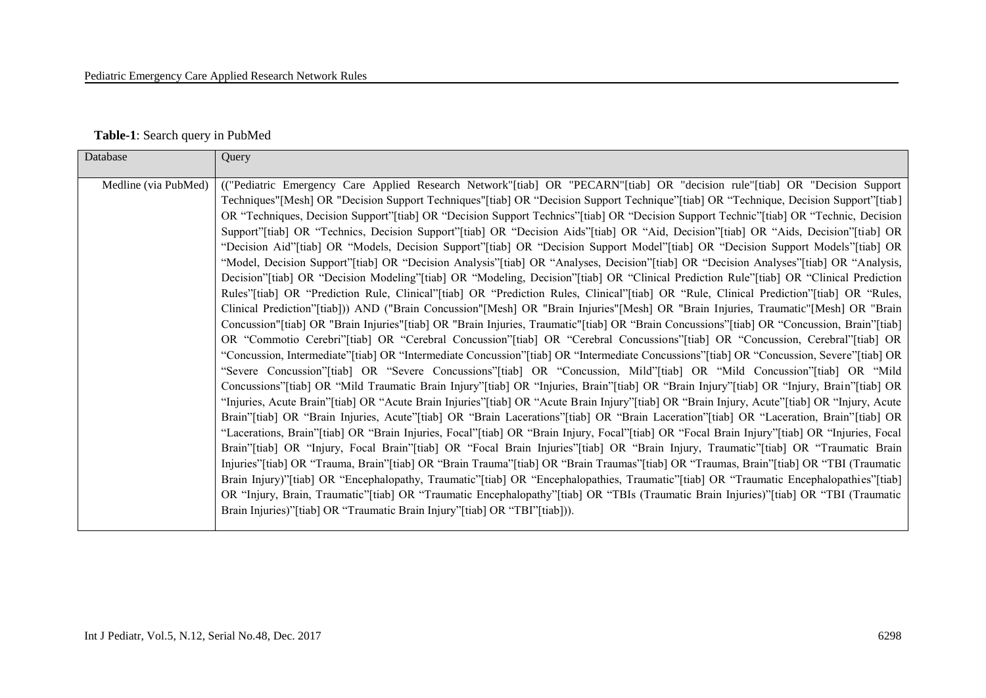#### **Table-1**: Search query in PubMed

| Database             | Query                                                                                                                                        |
|----------------------|----------------------------------------------------------------------------------------------------------------------------------------------|
|                      |                                                                                                                                              |
| Medline (via PubMed) | (("Pediatric Emergency Care Applied Research Network"[tiab] OR "PECARN"[tiab] OR "decision rule"[tiab] OR "Decision Support                  |
|                      | Techniques"[Mesh] OR "Decision Support Techniques"[tiab] OR "Decision Support Technique"[tiab] OR "Technique, Decision Support"[tiab]        |
|                      | OR "Techniques, Decision Support"[tiab] OR "Decision Support Technics"[tiab] OR "Decision Support Technic"[tiab] OR "Technic, Decision       |
|                      | Support"[tiab] OR "Technics, Decision Support"[tiab] OR "Decision Aids"[tiab] OR "Aid, Decision"[tiab] OR "Aids, Decision"[tiab] OR          |
|                      | "Decision Aid"[tiab] OR "Models, Decision Support"[tiab] OR "Decision Support Model"[tiab] OR "Decision Support Models"[tiab] OR             |
|                      | "Model, Decision Support"[tiab] OR "Decision Analysis"[tiab] OR "Analyses, Decision"[tiab] OR "Decision Analyses"[tiab] OR "Analysis,        |
|                      | Decision"[tiab] OR "Decision Modeling"[tiab] OR "Modeling, Decision"[tiab] OR "Clinical Prediction Rule"[tiab] OR "Clinical Prediction       |
|                      | Rules"[tiab] OR "Prediction Rule, Clinical"[tiab] OR "Prediction Rules, Clinical"[tiab] OR "Rule, Clinical Prediction"[tiab] OR "Rules,      |
|                      | Clinical Prediction"[tiab])) AND ("Brain Concussion"[Mesh] OR "Brain Injuries"[Mesh] OR "Brain Injuries, Traumatic"[Mesh] OR "Brain          |
|                      | Concussion"[tiab] OR "Brain Injuries"[tiab] OR "Brain Injuries, Traumatic"[tiab] OR "Brain Concussions"[tiab] OR "Concussion, Brain"[tiab]   |
|                      | OR "Commotio Cerebri"[tiab] OR "Cerebral Concussion"[tiab] OR "Cerebral Concussions"[tiab] OR "Concussion, Cerebral"[tiab] OR                |
|                      | "Concussion, Intermediate" [tiab] OR "Intermediate Concussion" [tiab] OR "Intermediate Concussions" [tiab] OR "Concussion, Severe" [tiab] OR |
|                      | "Severe Concussion" [tiab] OR "Severe Concussions" [tiab] OR "Concussion, Mild" [tiab] OR "Mild Concussion" [tiab] OR "Mild                  |
|                      | Concussions"[tiab] OR "Mild Traumatic Brain Injury"[tiab] OR "Injuries, Brain"[tiab] OR "Brain Injury"[tiab] OR "Injury, Brain"[tiab] OR     |
|                      | "Injuries, Acute Brain"[tiab] OR "Acute Brain Injuries"[tiab] OR "Acute Brain Injury"[tiab] OR "Brain Injury, Acute"[tiab] OR "Injury, Acute |
|                      | Brain"[tiab] OR "Brain Injuries, Acute"[tiab] OR "Brain Lacerations"[tiab] OR "Brain Laceration"[tiab] OR "Laceration, Brain"[tiab] OR       |
|                      | "Lacerations, Brain"[tiab] OR "Brain Injuries, Focal"[tiab] OR "Brain Injury, Focal"[tiab] OR "Focal Brain Injury"[tiab] OR "Injuries, Focal |
|                      | Brain"[tiab] OR "Injury, Focal Brain"[tiab] OR "Focal Brain Injuries"[tiab] OR "Brain Injury, Traumatic"[tiab] OR "Traumatic Brain           |
|                      | Injuries"[tiab] OR "Trauma, Brain"[tiab] OR "Brain Trauma"[tiab] OR "Brain Traumas"[tiab] OR "Traumas, Brain"[tiab] OR "TBI (Traumatic       |
|                      | Brain Injury)"[tiab] OR "Encephalopathy, Traumatic"[tiab] OR "Encephalopathies, Traumatic"[tiab] OR "Traumatic Encephalopathies"[tiab]       |
|                      | OR "Injury, Brain, Traumatic" [tiab] OR "Traumatic Encephalopathy" [tiab] OR "TBIs (Traumatic Brain Injuries)" [tiab] OR "TBI (Traumatic     |
|                      | Brain Injuries)"[tiab] OR "Traumatic Brain Injury"[tiab] OR "TBI"[tiab])).                                                                   |
|                      |                                                                                                                                              |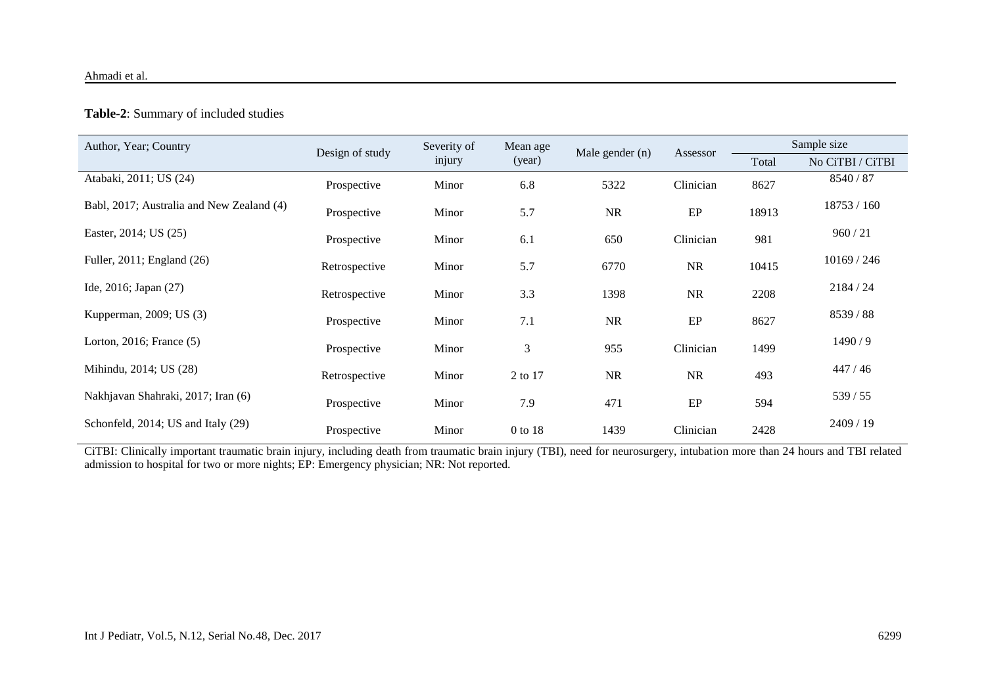| Author, Year; Country                     | Design of study | Severity of<br>injury | Mean age<br>(year) |                 |           | Sample size |                  |
|-------------------------------------------|-----------------|-----------------------|--------------------|-----------------|-----------|-------------|------------------|
|                                           |                 |                       |                    | Male gender (n) | Assessor  | Total       | No CiTBI / CiTBI |
| Atabaki, 2011; US (24)                    | Prospective     | Minor                 | 6.8                | 5322            | Clinician | 8627        | 8540 / 87        |
| Babl, 2017; Australia and New Zealand (4) | Prospective     | Minor                 | 5.7                | NR              | $\rm EP$  | 18913       | 18753 / 160      |
| Easter, 2014; US (25)                     | Prospective     | Minor                 | 6.1                | 650             | Clinician | 981         | 960 / 21         |
| Fuller, 2011; England (26)                | Retrospective   | Minor                 | 5.7                | 6770            | NR        | 10415       | 10169 / 246      |
| Ide, 2016; Japan (27)                     | Retrospective   | Minor                 | 3.3                | 1398            | NR        | 2208        | 2184 / 24        |
| Kupperman, 2009; US (3)                   | Prospective     | Minor                 | 7.1                | NR              | EP        | 8627        | 8539 / 88        |
| Lorton, 2016; France (5)                  | Prospective     | Minor                 | 3                  | 955             | Clinician | 1499        | 1490/9           |
| Mihindu, 2014; US (28)                    | Retrospective   | Minor                 | 2 to 17            | $\rm NR$        | $\rm NR$  | 493         | 447/46           |
| Nakhjavan Shahraki, 2017; Iran (6)        | Prospective     | Minor                 | 7.9                | 471             | $\rm EP$  | 594         | 539 / 55         |
| Schonfeld, 2014; US and Italy (29)        | Prospective     | Minor                 | 0 to 18            | 1439            | Clinician | 2428        | 2409 / 19        |

#### **Table-2**: Summary of included studies

CiTBI: Clinically important traumatic brain injury, including death from traumatic brain injury (TBI), need for neurosurgery, intubation more than 24 hours and TBI related admission to hospital for two or more nights; EP: Emergency physician; NR: Not reported.